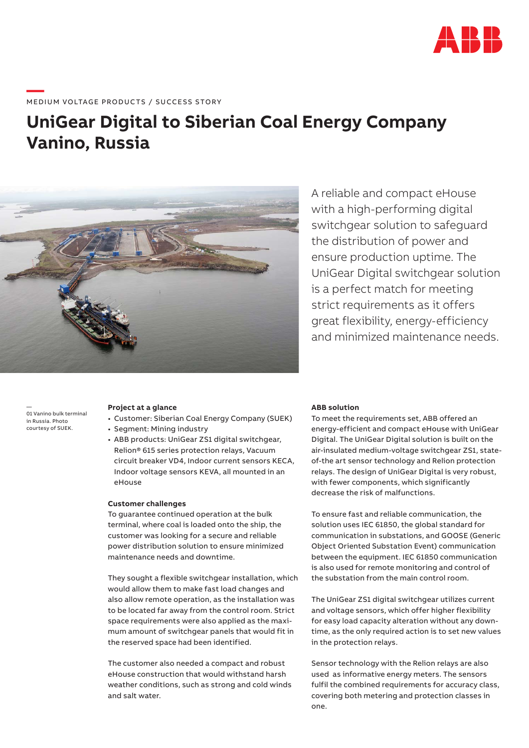

# ——<br>-<br>MEDIUM VOLTAGE PRODUCTS / SUCCESS STORY

# **UniGear Digital to Siberian Coal Energy Company Vanino, Russia**



A reliable and compact eHouse with a high-performing digital switchgear solution to safeguard the distribution of power and ensure production uptime. The UniGear Digital switchgear solution is a perfect match for meeting strict requirements as it offers great flexibility, energy-efficiency and minimized maintenance needs.

— 01 Vanino bulk terminal in Russia. Photo courtesy of SUEK.

#### **Project at a glance**

- Customer: Siberian Coal Energy Company (SUEK)
- Segment: Mining industry
- ABB products: UniGear ZS1 digital switchgear, Relion® 615 series protection relays, Vacuum circuit breaker VD4, Indoor current sensors KECA, Indoor voltage sensors KEVA, all mounted in an eHouse

#### **Customer challenges**

To guarantee continued operation at the bulk terminal, where coal is loaded onto the ship, the customer was looking for a secure and reliable power distribution solution to ensure minimized maintenance needs and downtime.

They sought a flexible switchgear installation, which would allow them to make fast load changes and also allow remote operation, as the installation was to be located far away from the control room. Strict space requirements were also applied as the maximum amount of switchgear panels that would fit in the reserved space had been identified.

The customer also needed a compact and robust eHouse construction that would withstand harsh weather conditions, such as strong and cold winds and salt water.

#### **ABB solution**

To meet the requirements set, ABB offered an energy-efficient and compact eHouse with UniGear Digital. The UniGear Digital solution is built on the air-insulated medium-voltage switchgear ZS1, stateof-the art sensor technology and Relion protection relays. The design of UniGear Digital is very robust, with fewer components, which significantly decrease the risk of malfunctions.

To ensure fast and reliable communication, the solution uses IEC 61850, the global standard for communication in substations, and GOOSE (Generic Object Oriented Substation Event) communication between the equipment. IEC 61850 communication is also used for remote monitoring and control of the substation from the main control room.

The UniGear ZS1 digital switchgear utilizes current and voltage sensors, which offer higher flexibility for easy load capacity alteration without any downtime, as the only required action is to set new values in the protection relays.

Sensor technology with the Relion relays are also used as informative energy meters. The sensors fulfil the combined requirements for accuracy class, covering both metering and protection classes in one.